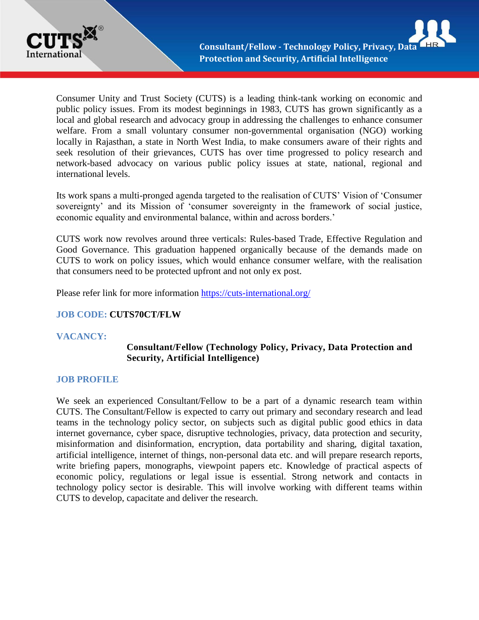

Consumer Unity and Trust Society (CUTS) is a leading think-tank working on economic and public policy issues. From its modest beginnings in 1983, CUTS has grown significantly as a local and global research and advocacy group in addressing the challenges to enhance consumer welfare. From a small voluntary consumer non-governmental organisation (NGO) working locally in Rajasthan, a state in North West India, to make consumers aware of their rights and seek resolution of their grievances, CUTS has over time progressed to policy research and network-based advocacy on various public policy issues at state, national, regional and international levels.

Its work spans a multi-pronged agenda targeted to the realisation of CUTS' Vision of 'Consumer sovereignty' and its Mission of 'consumer sovereignty in the framework of social justice, economic equality and environmental balance, within and across borders.'

CUTS work now revolves around three verticals: Rules-based Trade, Effective Regulation and Good Governance. This graduation happened organically because of the demands made on CUTS to work on policy issues, which would enhance consumer welfare, with the realisation that consumers need to be protected upfront and not only ex post.

Please refer link for more information <https://cuts-international.org/>

# **JOB CODE: CUTS70CT/FLW**

# **VACANCY:**

# **Consultant/Fellow (Technology Policy, Privacy, Data Protection and Security, Artificial Intelligence)**

# **JOB PROFILE**

We seek an experienced Consultant/Fellow to be a part of a dynamic research team within CUTS. The Consultant/Fellow is expected to carry out primary and secondary research and lead teams in the technology policy sector, on subjects such as digital public good ethics in data internet governance, cyber space, disruptive technologies, privacy, data protection and security, misinformation and disinformation, encryption, data portability and sharing, digital taxation, artificial intelligence, internet of things, non-personal data etc. and will prepare research reports, write briefing papers, monographs, viewpoint papers etc. Knowledge of practical aspects of economic policy, regulations or legal issue is essential. Strong network and contacts in technology policy sector is desirable. This will involve working with different teams within CUTS to develop, capacitate and deliver the research.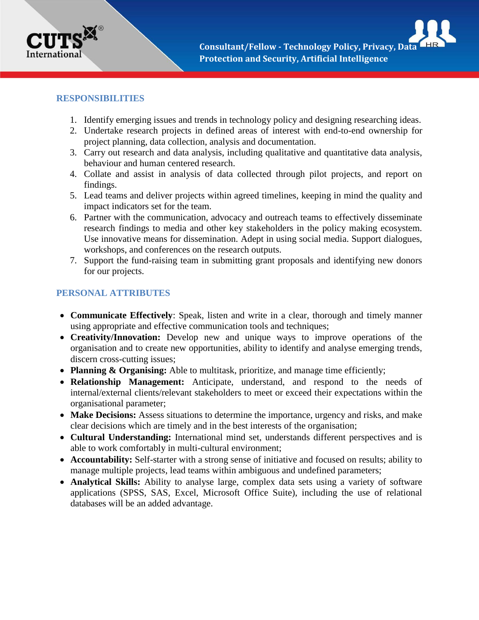

### **RESPONSIBILITIES**

- 1. Identify emerging issues and trends in technology policy and designing researching ideas.
- 2. Undertake research projects in defined areas of interest with end-to-end ownership for project planning, data collection, analysis and documentation.
- 3. Carry out research and data analysis, including qualitative and quantitative data analysis, behaviour and human centered research.
- 4. Collate and assist in analysis of data collected through pilot projects, and report on findings.
- 5. Lead teams and deliver projects within agreed timelines, keeping in mind the quality and impact indicators set for the team.
- 6. Partner with the communication, advocacy and outreach teams to effectively disseminate research findings to media and other key stakeholders in the policy making ecosystem. Use innovative means for dissemination. Adept in using social media. Support dialogues, workshops, and conferences on the research outputs.
- 7. Support the fund-raising team in submitting grant proposals and identifying new donors for our projects.

# **PERSONAL ATTRIBUTES**

- **Communicate Effectively**: Speak, listen and write in a clear, thorough and timely manner using appropriate and effective communication tools and techniques;
- **Creativity/Innovation:** Develop new and unique ways to improve operations of the organisation and to create new opportunities, ability to identify and analyse emerging trends, discern cross-cutting issues;
- **Planning & Organising:** Able to multitask, prioritize, and manage time efficiently;
- **Relationship Management:** Anticipate, understand, and respond to the needs of internal/external clients/relevant stakeholders to meet or exceed their expectations within the organisational parameter;
- **Make Decisions:** Assess situations to determine the importance, urgency and risks, and make clear decisions which are timely and in the best interests of the organisation;
- **Cultural Understanding:** International mind set, understands different perspectives and is able to work comfortably in multi-cultural environment;
- **Accountability:** Self-starter with a strong sense of initiative and focused on results; ability to manage multiple projects, lead teams within ambiguous and undefined parameters;
- **Analytical Skills:** Ability to analyse large, complex data sets using a variety of software applications (SPSS, SAS, Excel, Microsoft Office Suite), including the use of relational databases will be an added advantage.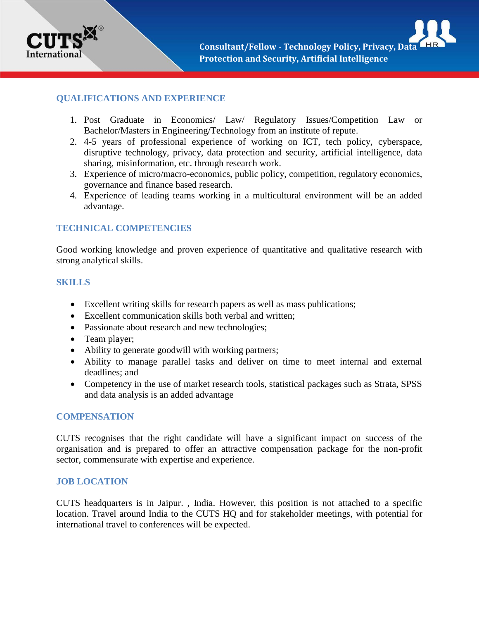

## **QUALIFICATIONS AND EXPERIENCE**

- 1. Post Graduate in Economics/ Law/ Regulatory Issues/Competition Law or Bachelor/Masters in Engineering/Technology from an institute of repute.
- 2. 4-5 years of professional experience of working on ICT, tech policy, cyberspace, disruptive technology, privacy, data protection and security, artificial intelligence, data sharing, misinformation, etc. through research work.
- 3. Experience of micro/macro-economics, public policy, competition, regulatory economics, governance and finance based research.
- 4. Experience of leading teams working in a multicultural environment will be an added advantage.

### **TECHNICAL COMPETENCIES**

Good working knowledge and proven experience of quantitative and qualitative research with strong analytical skills.

#### **SKILLS**

- Excellent writing skills for research papers as well as mass publications;
- Excellent communication skills both verbal and written;
- Passionate about research and new technologies;
- Team player;
- Ability to generate goodwill with working partners;
- Ability to manage parallel tasks and deliver on time to meet internal and external deadlines; and
- Competency in the use of market research tools, statistical packages such as Strata, SPSS and data analysis is an added advantage

#### **COMPENSATION**

CUTS recognises that the right candidate will have a significant impact on success of the organisation and is prepared to offer an attractive compensation package for the non-profit sector, commensurate with expertise and experience.

#### **JOB LOCATION**

CUTS headquarters is in Jaipur. , India. However, this position is not attached to a specific location. Travel around India to the CUTS HQ and for stakeholder meetings, with potential for international travel to conferences will be expected.